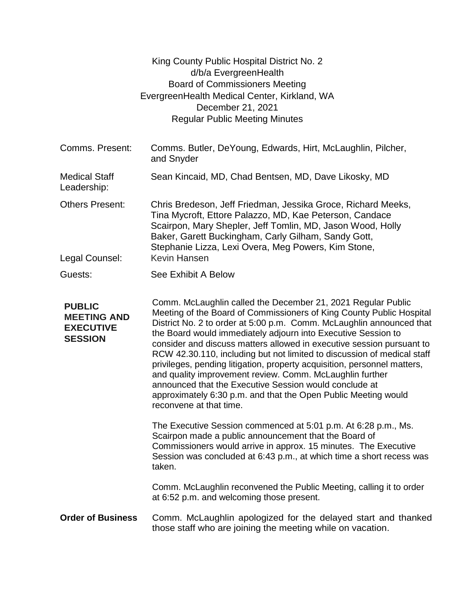|                                                                           | King County Public Hospital District No. 2<br>d/b/a EvergreenHealth<br><b>Board of Commissioners Meeting</b><br>EvergreenHealth Medical Center, Kirkland, WA<br>December 21, 2021<br><b>Regular Public Meeting Minutes</b>                                                                                                                                                                                                                                                                                                                                                                                                                                                                                                       |
|---------------------------------------------------------------------------|----------------------------------------------------------------------------------------------------------------------------------------------------------------------------------------------------------------------------------------------------------------------------------------------------------------------------------------------------------------------------------------------------------------------------------------------------------------------------------------------------------------------------------------------------------------------------------------------------------------------------------------------------------------------------------------------------------------------------------|
| Comms. Present:                                                           | Comms. Butler, DeYoung, Edwards, Hirt, McLaughlin, Pilcher,<br>and Snyder                                                                                                                                                                                                                                                                                                                                                                                                                                                                                                                                                                                                                                                        |
| <b>Medical Staff</b><br>Leadership:                                       | Sean Kincaid, MD, Chad Bentsen, MD, Dave Likosky, MD                                                                                                                                                                                                                                                                                                                                                                                                                                                                                                                                                                                                                                                                             |
| <b>Others Present:</b><br>Legal Counsel:                                  | Chris Bredeson, Jeff Friedman, Jessika Groce, Richard Meeks,<br>Tina Mycroft, Ettore Palazzo, MD, Kae Peterson, Candace<br>Scairpon, Mary Shepler, Jeff Tomlin, MD, Jason Wood, Holly<br>Baker, Garett Buckingham, Carly Gilham, Sandy Gott,<br>Stephanie Lizza, Lexi Overa, Meg Powers, Kim Stone,<br>Kevin Hansen                                                                                                                                                                                                                                                                                                                                                                                                              |
| Guests:                                                                   | See Exhibit A Below                                                                                                                                                                                                                                                                                                                                                                                                                                                                                                                                                                                                                                                                                                              |
| <b>PUBLIC</b><br><b>MEETING AND</b><br><b>EXECUTIVE</b><br><b>SESSION</b> | Comm. McLaughlin called the December 21, 2021 Regular Public<br>Meeting of the Board of Commissioners of King County Public Hospital<br>District No. 2 to order at 5:00 p.m. Comm. McLaughlin announced that<br>the Board would immediately adjourn into Executive Session to<br>consider and discuss matters allowed in executive session pursuant to<br>RCW 42.30.110, including but not limited to discussion of medical staff<br>privileges, pending litigation, property acquisition, personnel matters,<br>and quality improvement review. Comm. McLaughlin further<br>announced that the Executive Session would conclude at<br>approximately 6:30 p.m. and that the Open Public Meeting would<br>reconvene at that time. |
|                                                                           | The Executive Session commenced at 5:01 p.m. At 6:28 p.m., Ms.<br>Scairpon made a public announcement that the Board of<br>Commissioners would arrive in approx. 15 minutes. The Executive<br>Session was concluded at 6:43 p.m., at which time a short recess was<br>taken.<br>Comm. McLaughlin reconvened the Public Meeting, calling it to order<br>at 6:52 p.m. and welcoming those present.                                                                                                                                                                                                                                                                                                                                 |
| <b>Order of Business</b>                                                  | Comm. McLaughlin apologized for the delayed start and thanked<br>those staff who are joining the meeting while on vacation.                                                                                                                                                                                                                                                                                                                                                                                                                                                                                                                                                                                                      |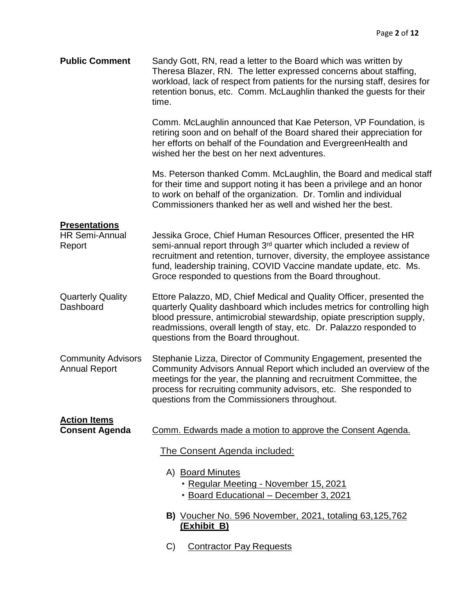| <b>Public Comment</b>                                   | Sandy Gott, RN, read a letter to the Board which was written by<br>Theresa Blazer, RN. The letter expressed concerns about staffing,<br>workload, lack of respect from patients for the nursing staff, desires for<br>retention bonus, etc. Comm. McLaughlin thanked the guests for their<br>time.                                                         |
|---------------------------------------------------------|------------------------------------------------------------------------------------------------------------------------------------------------------------------------------------------------------------------------------------------------------------------------------------------------------------------------------------------------------------|
|                                                         | Comm. McLaughlin announced that Kae Peterson, VP Foundation, is<br>retiring soon and on behalf of the Board shared their appreciation for<br>her efforts on behalf of the Foundation and EvergreenHealth and<br>wished her the best on her next adventures.                                                                                                |
|                                                         | Ms. Peterson thanked Comm. McLaughlin, the Board and medical staff<br>for their time and support noting it has been a privilege and an honor<br>to work on behalf of the organization. Dr. Tomlin and individual<br>Commissioners thanked her as well and wished her the best.                                                                             |
| <b>Presentations</b><br><b>HR Semi-Annual</b><br>Report | Jessika Groce, Chief Human Resources Officer, presented the HR<br>semi-annual report through 3 <sup>rd</sup> quarter which included a review of<br>recruitment and retention, turnover, diversity, the employee assistance<br>fund, leadership training, COVID Vaccine mandate update, etc. Ms.<br>Groce responded to questions from the Board throughout. |
| <b>Quarterly Quality</b><br>Dashboard                   | Ettore Palazzo, MD, Chief Medical and Quality Officer, presented the<br>quarterly Quality dashboard which includes metrics for controlling high<br>blood pressure, antimicrobial stewardship, opiate prescription supply,<br>readmissions, overall length of stay, etc. Dr. Palazzo responded to<br>questions from the Board throughout.                   |
| <b>Community Advisors</b><br><b>Annual Report</b>       | Stephanie Lizza, Director of Community Engagement, presented the<br>Community Advisors Annual Report which included an overview of the<br>meetings for the year, the planning and recruitment Committee, the<br>process for recruiting community advisors, etc. She responded to<br>questions from the Commissioners throughout.                           |
| <b>Action Items</b><br><b>Consent Agenda</b>            | Comm. Edwards made a motion to approve the Consent Agenda.                                                                                                                                                                                                                                                                                                 |
|                                                         | The Consent Agenda included:                                                                                                                                                                                                                                                                                                                               |
|                                                         | A) Board Minutes<br>• Regular Meeting - November 15, 2021<br>• Board Educational - December 3, 2021                                                                                                                                                                                                                                                        |
|                                                         | B) Voucher No. 596 November, 2021, totaling 63,125,762<br>(Exhibit B)                                                                                                                                                                                                                                                                                      |
|                                                         | C)<br><b>Contractor Pay Requests</b>                                                                                                                                                                                                                                                                                                                       |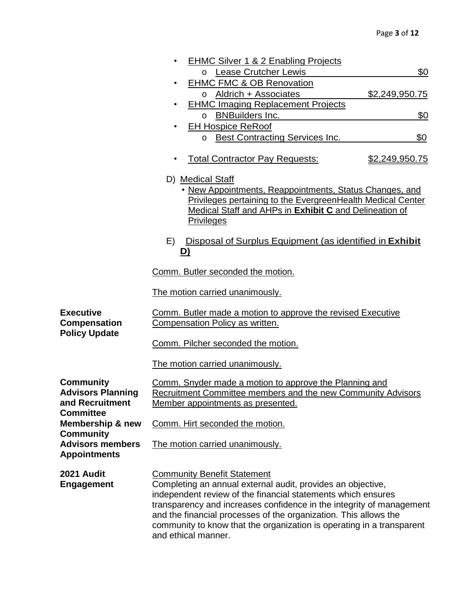|                                                                 | <b>EHMC Silver 1 &amp; 2 Enabling Projects</b>                                                                                       |  |  |  |  |  |
|-----------------------------------------------------------------|--------------------------------------------------------------------------------------------------------------------------------------|--|--|--|--|--|
|                                                                 | o Lease Crutcher Lewis<br>\$0                                                                                                        |  |  |  |  |  |
|                                                                 | <b>EHMC FMC &amp; OB Renovation</b>                                                                                                  |  |  |  |  |  |
|                                                                 | o Aldrich + Associates<br>\$2,249,950.75<br><b>EHMC Imaging Replacement Projects</b>                                                 |  |  |  |  |  |
|                                                                 | o BNBuilders Inc.<br>\$0                                                                                                             |  |  |  |  |  |
|                                                                 | <b>EH Hospice ReRoof</b>                                                                                                             |  |  |  |  |  |
|                                                                 | \$0<br>o Best Contracting Services Inc.                                                                                              |  |  |  |  |  |
|                                                                 | <b>Total Contractor Pay Requests:</b><br><u>\$2,249,950.75</u>                                                                       |  |  |  |  |  |
|                                                                 | D) Medical Staff                                                                                                                     |  |  |  |  |  |
|                                                                 | • New Appointments, Reappointments, Status Changes, and                                                                              |  |  |  |  |  |
|                                                                 | Privileges pertaining to the EvergreenHealth Medical Center                                                                          |  |  |  |  |  |
|                                                                 | Medical Staff and AHPs in Exhibit C and Delineation of<br><b>Privileges</b>                                                          |  |  |  |  |  |
|                                                                 |                                                                                                                                      |  |  |  |  |  |
|                                                                 | Disposal of Surplus Equipment (as identified in Exhibit<br>E)<br>D)                                                                  |  |  |  |  |  |
|                                                                 | Comm. Butler seconded the motion.                                                                                                    |  |  |  |  |  |
|                                                                 | The motion carried unanimously.                                                                                                      |  |  |  |  |  |
| <b>Executive</b><br><b>Compensation</b><br><b>Policy Update</b> | Comm. Butler made a motion to approve the revised Executive<br>Compensation Policy as written.                                       |  |  |  |  |  |
|                                                                 | Comm. Pilcher seconded the motion.                                                                                                   |  |  |  |  |  |
|                                                                 | The motion carried unanimously.                                                                                                      |  |  |  |  |  |
| Community                                                       | Comm. Snyder made a motion to approve the Planning and                                                                               |  |  |  |  |  |
| <b>Advisors Planning</b>                                        | Recruitment Committee members and the new Community Advisors                                                                         |  |  |  |  |  |
| and Recruitment<br><b>Committee</b>                             | <u>Member appointments as presented.</u>                                                                                             |  |  |  |  |  |
| Membership & new                                                | Comm. Hirt seconded the motion.                                                                                                      |  |  |  |  |  |
| Community<br><b>Advisors members</b>                            | The motion carried unanimously.                                                                                                      |  |  |  |  |  |
| <b>Appointments</b>                                             |                                                                                                                                      |  |  |  |  |  |
| 2021 Audit                                                      | <b>Community Benefit Statement</b>                                                                                                   |  |  |  |  |  |
| <b>Engagement</b>                                               | Completing an annual external audit, provides an objective,                                                                          |  |  |  |  |  |
|                                                                 | independent review of the financial statements which ensures<br>transparency and increases confidence in the integrity of management |  |  |  |  |  |
|                                                                 | and the financial processes of the organization. This allows the                                                                     |  |  |  |  |  |
|                                                                 | community to know that the organization is operating in a transparent<br>and ethical manner.                                         |  |  |  |  |  |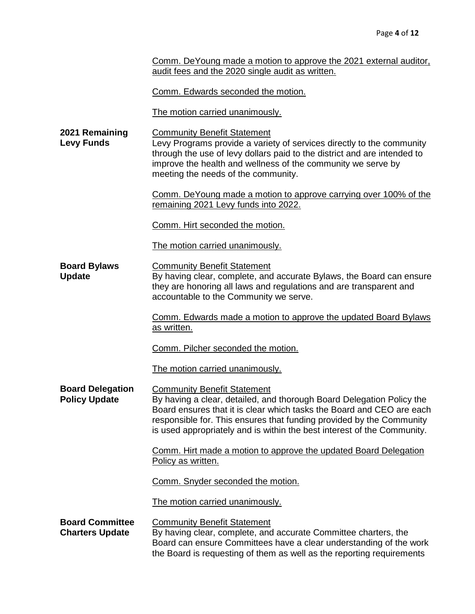|  | Comm. DeYoung made a motion to approve the 2021 external auditor. |  |  |  |  |
|--|-------------------------------------------------------------------|--|--|--|--|
|  | audit fees and the 2020 single audit as written.                  |  |  |  |  |

Comm. Edwards seconded the motion.

The motion carried unanimously.

**2021 Remaining Levy Funds** Community Benefit Statement Levy Programs provide a variety of services directly to the community through the use of levy dollars paid to the district and are intended to improve the health and wellness of the community we serve by meeting the needs of the community.

> Comm. DeYoung made a motion to approve carrying over 100% of the remaining 2021 Levy funds into 2022.

Comm. Hirt seconded the motion.

The motion carried unanimously.

**Board Bylaws Update** Community Benefit Statement By having clear, complete, and accurate Bylaws, the Board can ensure they are honoring all laws and regulations and are transparent and accountable to the Community we serve.

> Comm. Edwards made a motion to approve the updated Board Bylaws as written.

Comm. Pilcher seconded the motion.

The motion carried unanimously.

**Board Delegation Policy Update** Community Benefit Statement By having a clear, detailed, and thorough Board Delegation Policy the Board ensures that it is clear which tasks the Board and CEO are each responsible for. This ensures that funding provided by the Community is used appropriately and is within the best interest of the Community.

> Comm. Hirt made a motion to approve the updated Board Delegation Policy as written.

Comm. Snyder seconded the motion.

The motion carried unanimously.

**Board Committee Charters Update** Community Benefit Statement By having clear, complete, and accurate Committee charters, the Board can ensure Committees have a clear understanding of the work the Board is requesting of them as well as the reporting requirements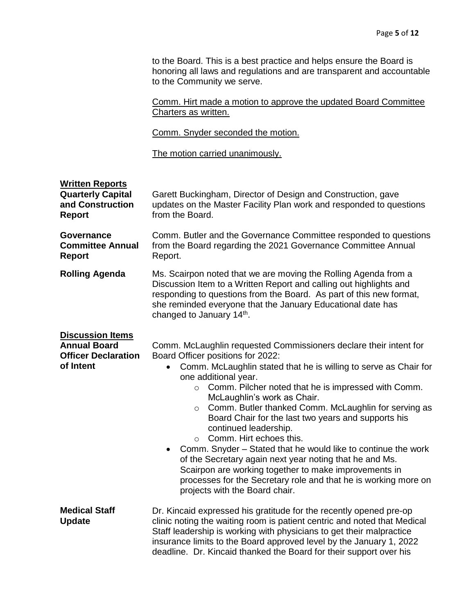to the Board. This is a best practice and helps ensure the Board is honoring all laws and regulations and are transparent and accountable to the Community we serve.

Comm. Hirt made a motion to approve the updated Board Committee Charters as written.

Comm. Snyder seconded the motion.

The motion carried unanimously.

| <b>Written Reports</b><br><b>Quarterly Capital</b><br>and Construction<br><b>Report</b>   | Garett Buckingham, Director of Design and Construction, gave<br>updates on the Master Facility Plan work and responded to questions<br>from the Board.                                                                                                                                                                                                                                                                                                                                                                                                                                                                                                                                                                                                                                              |  |  |  |
|-------------------------------------------------------------------------------------------|-----------------------------------------------------------------------------------------------------------------------------------------------------------------------------------------------------------------------------------------------------------------------------------------------------------------------------------------------------------------------------------------------------------------------------------------------------------------------------------------------------------------------------------------------------------------------------------------------------------------------------------------------------------------------------------------------------------------------------------------------------------------------------------------------------|--|--|--|
| Governance<br><b>Committee Annual</b><br><b>Report</b>                                    | Comm. Butler and the Governance Committee responded to questions<br>from the Board regarding the 2021 Governance Committee Annual<br>Report.                                                                                                                                                                                                                                                                                                                                                                                                                                                                                                                                                                                                                                                        |  |  |  |
| <b>Rolling Agenda</b>                                                                     | Ms. Scairpon noted that we are moving the Rolling Agenda from a<br>Discussion Item to a Written Report and calling out highlights and<br>responding to questions from the Board. As part of this new format,<br>she reminded everyone that the January Educational date has<br>changed to January 14th.                                                                                                                                                                                                                                                                                                                                                                                                                                                                                             |  |  |  |
| <b>Discussion Items</b><br><b>Annual Board</b><br><b>Officer Declaration</b><br>of Intent | Comm. McLaughlin requested Commissioners declare their intent for<br>Board Officer positions for 2022:<br>Comm. McLaughlin stated that he is willing to serve as Chair for<br>one additional year.<br>Comm. Pilcher noted that he is impressed with Comm.<br>$\circ$<br>McLaughlin's work as Chair.<br>Comm. Butler thanked Comm. McLaughlin for serving as<br>$\circ$<br>Board Chair for the last two years and supports his<br>continued leadership.<br>Comm. Hirt echoes this.<br>$\circ$<br>Comm. Snyder - Stated that he would like to continue the work<br>$\bullet$<br>of the Secretary again next year noting that he and Ms.<br>Scairpon are working together to make improvements in<br>processes for the Secretary role and that he is working more on<br>projects with the Board chair. |  |  |  |
| <b>Medical Staff</b><br><b>Update</b>                                                     | Dr. Kincaid expressed his gratitude for the recently opened pre-op<br>clinic noting the waiting room is patient centric and noted that Medical<br>Staff leadership is working with physicians to get their malpractice<br>insurance limits to the Board approved level by the January 1, 2022<br>deadline. Dr. Kincaid thanked the Board for their support over his                                                                                                                                                                                                                                                                                                                                                                                                                                 |  |  |  |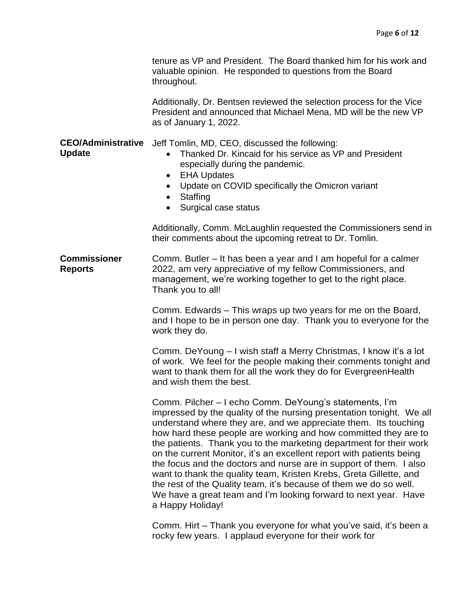|             | tenure as VP and President. The Board thanked him for his work and |
|-------------|--------------------------------------------------------------------|
|             | valuable opinion. He responded to questions from the Board         |
| throughout. |                                                                    |

Additionally, Dr. Bentsen reviewed the selection process for the Vice President and announced that Michael Mena, MD will be the new VP as of January 1, 2022.

**CEO/Administrative**  Jeff Tomlin, MD, CEO, discussed the following:

**Update**

- Thanked Dr. Kincaid for his service as VP and President especially during the pandemic.
- EHA Updates
- Update on COVID specifically the Omicron variant
- Staffing
- Surgical case status

Additionally, Comm. McLaughlin requested the Commissioners send in their comments about the upcoming retreat to Dr. Tomlin.

**Commissioner Reports** Comm. Butler – It has been a year and I am hopeful for a calmer 2022, am very appreciative of my fellow Commissioners, and management, we're working together to get to the right place. Thank you to all!

> Comm. Edwards – This wraps up two years for me on the Board, and I hope to be in person one day. Thank you to everyone for the work they do.

> Comm. DeYoung – I wish staff a Merry Christmas, I know it's a lot of work. We feel for the people making their comments tonight and want to thank them for all the work they do for EvergreenHealth and wish them the best.

> Comm. Pilcher – I echo Comm. DeYoung's statements, I'm impressed by the quality of the nursing presentation tonight. We all understand where they are, and we appreciate them. Its touching how hard these people are working and how committed they are to the patients. Thank you to the marketing department for their work on the current Monitor, it's an excellent report with patients being the focus and the doctors and nurse are in support of them. I also want to thank the quality team, Kristen Krebs, Greta Gillette, and the rest of the Quality team, it's because of them we do so well. We have a great team and I'm looking forward to next year. Have a Happy Holiday!

Comm. Hirt – Thank you everyone for what you've said, it's been a rocky few years. I applaud everyone for their work for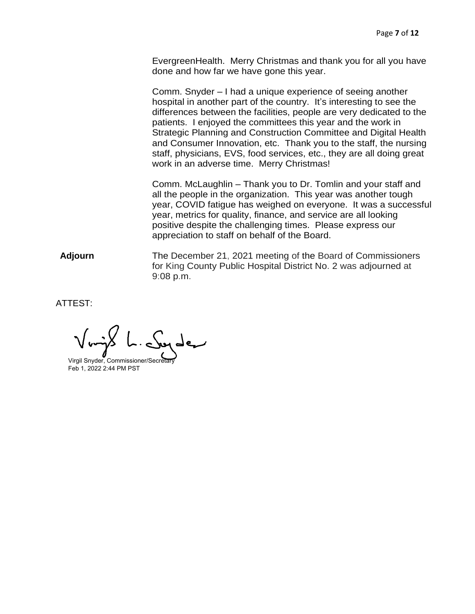EvergreenHealth. Merry Christmas and thank you for all you have done and how far we have gone this year.

Comm. Snyder – I had a unique experience of seeing another hospital in another part of the country. It's interesting to see the differences between the facilities, people are very dedicated to the patients. I enjoyed the committees this year and the work in Strategic Planning and Construction Committee and Digital Health and Consumer Innovation, etc. Thank you to the staff, the nursing staff, physicians, EVS, food services, etc., they are all doing great work in an adverse time. Merry Christmas!

Comm. McLaughlin – Thank you to Dr. Tomlin and your staff and all the people in the organization. This year was another tough year, COVID fatigue has weighed on everyone. It was a successful year, metrics for quality, finance, and service are all looking positive despite the challenging times. Please express our appreciation to staff on behalf of the Board.

Adjourn The December 21, 2021 meeting of the Board of Commissioners for King County Public Hospital District No. 2 was adjourned at 9:08 p.m.

ATTEST:

Virgil Snyder, Commissioner/Secreta Feb 1, 2022 2:44 PM PST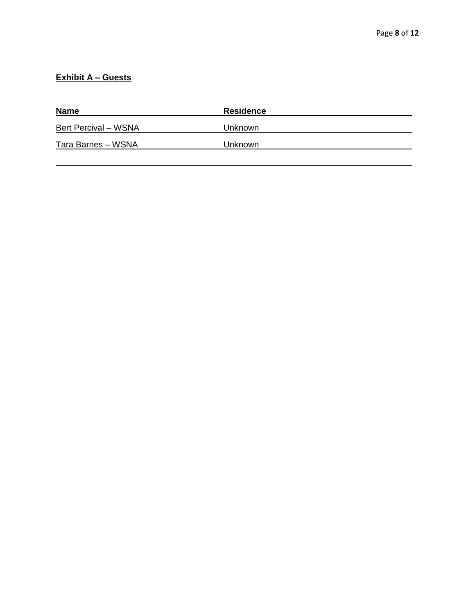## **Exhibit A – Guests**

| <b>Name</b>                 | <b>Residence</b> |
|-----------------------------|------------------|
| <b>Bert Percival – WSNA</b> | Unknown          |
| Tara Barnes - WSNA          | Unknown          |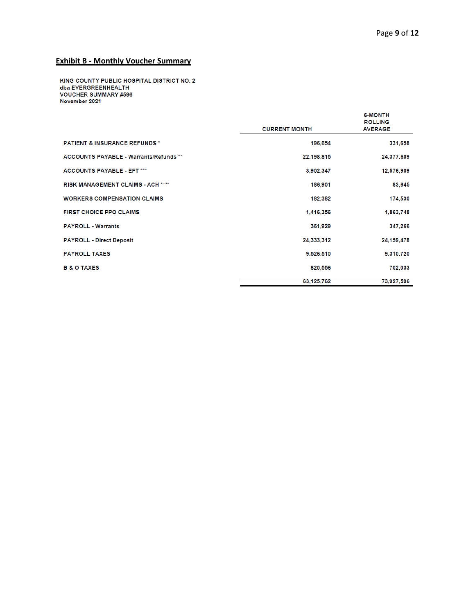## **Exhibit B - Monthly Voucher Summary**

KING COUNTY PUBLIC HOSPITAL DISTRICT NO. 2 dba EVERGREENHEALTH **VOUCHER SUMMARY #596** November 2021

|                                               | <b>CURRENT MONTH</b> | <b>6-MONTH</b><br><b>ROLLING</b><br><b>AVERAGE</b> |
|-----------------------------------------------|----------------------|----------------------------------------------------|
|                                               |                      |                                                    |
| <b>PATIENT &amp; INSURANCE REFUNDS *</b>      | 196,654              | 331,658                                            |
| <b>ACCOUNTS PAYABLE - Warrants/Refunds **</b> | 22,198,815           | 24,377,609                                         |
| <b>ACCOUNTS PAYABLE - EFT ***</b>             | 3,902,347            | 12,576,909                                         |
| <b>RISK MANAGEMENT CLAIMS - ACH ****</b>      | 186,901              | 83,645                                             |
| <b>WORKERS COMPENSATION CLAIMS</b>            | 182,382              | 174,530                                            |
| <b>FIRST CHOICE PPO CLAIMS</b>                | 1,416,356            | 1,863,748                                          |
| <b>PAYROLL - Warrants</b>                     | 361,929              | 347.266                                            |
| <b>PAYROLL - Direct Deposit</b>               | 24.333.312           | 24,159,478                                         |
| <b>PAYROLL TAXES</b>                          | 9,526,510            | 9,310,720                                          |
| <b>B &amp; O TAXES</b>                        | 820,556              | 702,033                                            |
|                                               | 63.125.762           | 73,927,596                                         |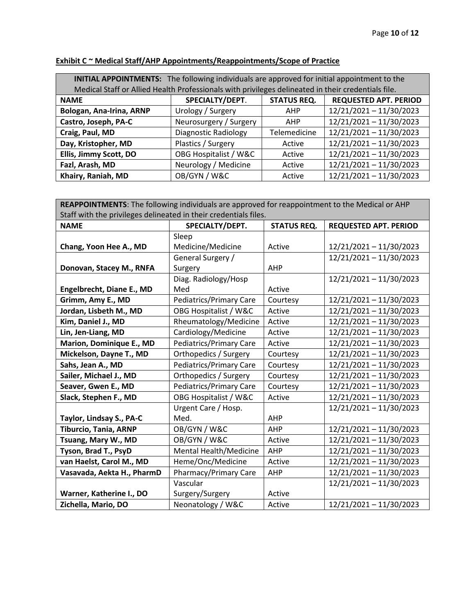| INITIAL APPOINTMENTS: The following individuals are approved for initial appointment to the        |                             |                    |                              |  |  |  |
|----------------------------------------------------------------------------------------------------|-----------------------------|--------------------|------------------------------|--|--|--|
| Medical Staff or Allied Health Professionals with privileges delineated in their credentials file. |                             |                    |                              |  |  |  |
| <b>NAME</b>                                                                                        | SPECIALTY/DEPT.             | <b>STATUS REQ.</b> | <b>REQUESTED APT. PERIOD</b> |  |  |  |
| Bologan, Ana-Irina, ARNP                                                                           | Urology / Surgery           | <b>AHP</b>         | 12/21/2021 - 11/30/2023      |  |  |  |
| Castro, Joseph, PA-C                                                                               | Neurosurgery / Surgery      | <b>AHP</b>         | 12/21/2021 - 11/30/2023      |  |  |  |
| Craig, Paul, MD                                                                                    | <b>Diagnostic Radiology</b> | Telemedicine       | 12/21/2021 - 11/30/2023      |  |  |  |
| Day, Kristopher, MD                                                                                | Plastics / Surgery          | Active             | 12/21/2021 - 11/30/2023      |  |  |  |
| Ellis, Jimmy Scott, DO                                                                             | OBG Hospitalist / W&C       | Active             | 12/21/2021 - 11/30/2023      |  |  |  |
| Fazl, Arash, MD                                                                                    | Neurology / Medicine        | Active             | 12/21/2021 - 11/30/2023      |  |  |  |
| Khairy, Raniah, MD                                                                                 | OB/GYN / W&C                | Active             | 12/21/2021 - 11/30/2023      |  |  |  |

## **Exhibit C ~ Medical Staff/AHP Appointments/Reappointments/Scope of Practice**

| REAPPOINTMENTS: The following individuals are approved for reappointment to the Medical or AHP |                                |                    |                              |  |  |
|------------------------------------------------------------------------------------------------|--------------------------------|--------------------|------------------------------|--|--|
| Staff with the privileges delineated in their credentials files.                               |                                |                    |                              |  |  |
| <b>NAME</b>                                                                                    | SPECIALTY/DEPT.                | <b>STATUS REQ.</b> | <b>REQUESTED APT. PERIOD</b> |  |  |
|                                                                                                | Sleep                          |                    |                              |  |  |
| Chang, Yoon Hee A., MD                                                                         | Medicine/Medicine              | Active             | 12/21/2021 - 11/30/2023      |  |  |
|                                                                                                | General Surgery /              |                    | 12/21/2021 - 11/30/2023      |  |  |
| Donovan, Stacey M., RNFA                                                                       | Surgery                        | <b>AHP</b>         |                              |  |  |
|                                                                                                | Diag. Radiology/Hosp           |                    | 12/21/2021 - 11/30/2023      |  |  |
| Engelbrecht, Diane E., MD                                                                      | Med                            | Active             |                              |  |  |
| Grimm, Amy E., MD                                                                              | Pediatrics/Primary Care        | Courtesy           | 12/21/2021 - 11/30/2023      |  |  |
| Jordan, Lisbeth M., MD                                                                         | OBG Hospitalist / W&C          | Active             | 12/21/2021 - 11/30/2023      |  |  |
| Kim, Daniel J., MD                                                                             | Rheumatology/Medicine          | Active             | 12/21/2021 - 11/30/2023      |  |  |
| Lin, Jen-Liang, MD                                                                             | Cardiology/Medicine            | Active             | 12/21/2021 - 11/30/2023      |  |  |
| Marion, Dominique E., MD                                                                       | Pediatrics/Primary Care        | Active             | 12/21/2021 - 11/30/2023      |  |  |
| Mickelson, Dayne T., MD                                                                        | Orthopedics / Surgery          | Courtesy           | 12/21/2021 - 11/30/2023      |  |  |
| Sahs, Jean A., MD                                                                              | Pediatrics/Primary Care        | Courtesy           | 12/21/2021 - 11/30/2023      |  |  |
| Sailer, Michael J., MD                                                                         | Orthopedics / Surgery          | Courtesy           | 12/21/2021 - 11/30/2023      |  |  |
| Seaver, Gwen E., MD                                                                            | <b>Pediatrics/Primary Care</b> | Courtesy           | 12/21/2021 - 11/30/2023      |  |  |
| Slack, Stephen F., MD                                                                          | OBG Hospitalist / W&C          | Active             | 12/21/2021 - 11/30/2023      |  |  |
|                                                                                                | Urgent Care / Hosp.            |                    | 12/21/2021 - 11/30/2023      |  |  |
| Taylor, Lindsay S., PA-C                                                                       | Med.                           | AHP                |                              |  |  |
| <b>Tiburcio, Tania, ARNP</b>                                                                   | OB/GYN / W&C                   | AHP                | 12/21/2021 - 11/30/2023      |  |  |
| Tsuang, Mary W., MD                                                                            | OB/GYN / W&C                   | Active             | 12/21/2021 - 11/30/2023      |  |  |
| Tyson, Brad T., PsyD                                                                           | Mental Health/Medicine         | AHP                | 12/21/2021 - 11/30/2023      |  |  |
| van Haelst, Carol M., MD                                                                       | Heme/Onc/Medicine              | Active             | 12/21/2021 - 11/30/2023      |  |  |
| Vasavada, Aekta H., PharmD                                                                     | Pharmacy/Primary Care          | AHP                | 12/21/2021 - 11/30/2023      |  |  |
|                                                                                                | Vascular                       |                    | 12/21/2021 - 11/30/2023      |  |  |
| Warner, Katherine I., DO<br>Surgery/Surgery<br>Active                                          |                                |                    |                              |  |  |
| Zichella, Mario, DO                                                                            | Neonatology / W&C              | Active             | 12/21/2021 - 11/30/2023      |  |  |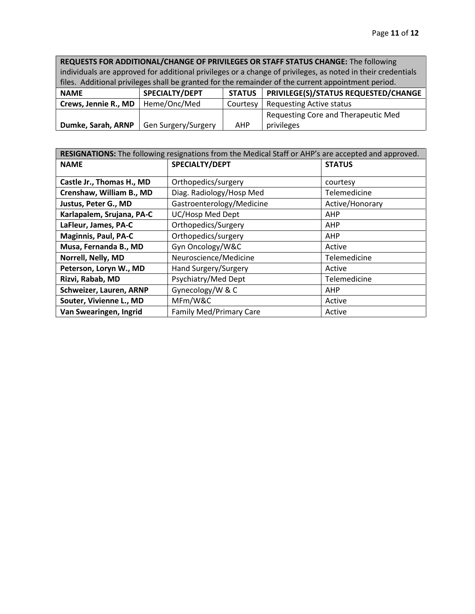**REQUESTS FOR ADDITIONAL/CHANGE OF PRIVILEGES OR STAFF STATUS CHANGE:** The following individuals are approved for additional privileges or a change of privileges, as noted in their credentials files. Additional privileges shall be granted for the remainder of the current appointment period.

| <b>NAME</b>          | <b>SPECIALTY/DEPT</b> | <b>STATUS</b> | PRIVILEGE(S)/STATUS REQUESTED/CHANGE |
|----------------------|-----------------------|---------------|--------------------------------------|
| Crews, Jennie R., MD | Heme/Onc/Med          | Courtesy      | Requesting Active status             |
|                      |                       |               | Requesting Core and Therapeutic Med  |
| Dumke, Sarah, ARNP   | Gen Surgery/Surgery   | <b>AHP</b>    | privileges                           |

| RESIGNATIONS: The following resignations from the Medical Staff or AHP's are accepted and approved. |                                |                 |  |  |
|-----------------------------------------------------------------------------------------------------|--------------------------------|-----------------|--|--|
| <b>NAME</b>                                                                                         | SPECIALTY/DEPT                 | <b>STATUS</b>   |  |  |
|                                                                                                     |                                |                 |  |  |
| Castle Jr., Thomas H., MD                                                                           | Orthopedics/surgery            | courtesy        |  |  |
| Crenshaw, William B., MD                                                                            | Diag. Radiology/Hosp Med       | Telemedicine    |  |  |
| Justus, Peter G., MD                                                                                | Gastroenterology/Medicine      | Active/Honorary |  |  |
| Karlapalem, Srujana, PA-C                                                                           | UC/Hosp Med Dept               | AHP             |  |  |
| LaFleur, James, PA-C                                                                                | Orthopedics/Surgery            | AHP             |  |  |
| <b>Maginnis, Paul, PA-C</b>                                                                         | Orthopedics/surgery            | <b>AHP</b>      |  |  |
| Musa, Fernanda B., MD                                                                               | Gyn Oncology/W&C               | Active          |  |  |
| Norrell, Nelly, MD                                                                                  | Neuroscience/Medicine          | Telemedicine    |  |  |
| Peterson, Loryn W., MD                                                                              | Hand Surgery/Surgery           | Active          |  |  |
| Rizvi, Rabab, MD                                                                                    | Psychiatry/Med Dept            | Telemedicine    |  |  |
| Schweizer, Lauren, ARNP                                                                             | Gynecology/W & C               | AHP             |  |  |
| Souter, Vivienne L., MD                                                                             | MFm/W&C                        | Active          |  |  |
| Van Swearingen, Ingrid                                                                              | <b>Family Med/Primary Care</b> | Active          |  |  |